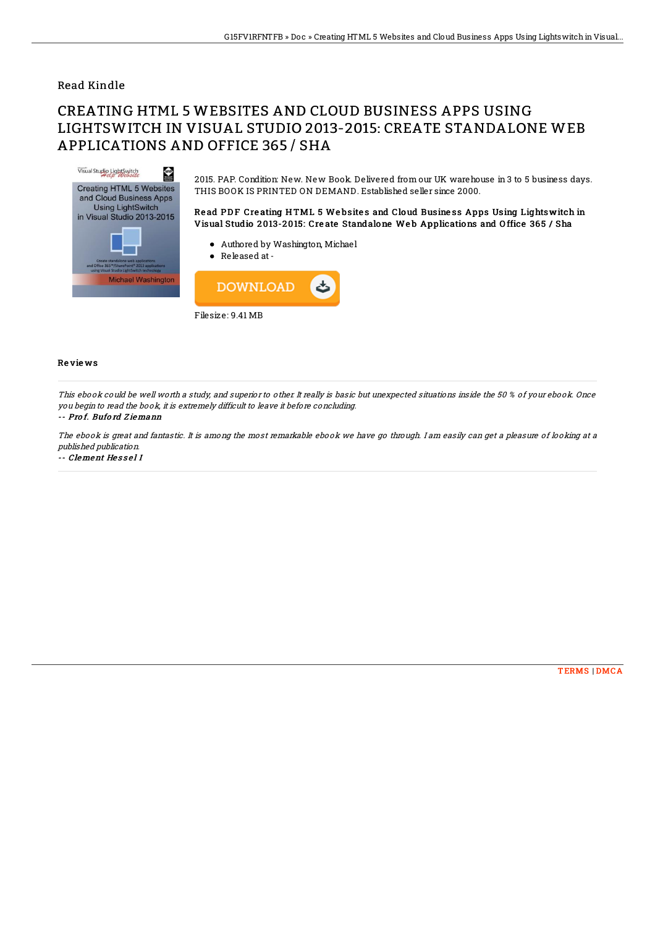## Read Kindle

# CREATING HTML 5 WEBSITES AND CLOUD BUSINESS APPS USING LIGHTSWITCH IN VISUAL STUDIO 2013-2015: CREATE STANDALONE WEB APPLICATIONS AND OFFICE 365 / SHA



Filesize: 9.41 MB

### Re vie ws

This ebook could be well worth a study, and superior to other. It really is basic but unexpected situations inside the 50 % of your ebook. Once you begin to read the book, it is extremely difficult to leave it before concluding.

#### -- Pro f. Bufo rd Z iemann

The ebook is great and fantastic. It is among the most remarkable ebook we have go through. I am easily can get <sup>a</sup> pleasure of looking at <sup>a</sup> published publication.

-- Clement He s s e l I